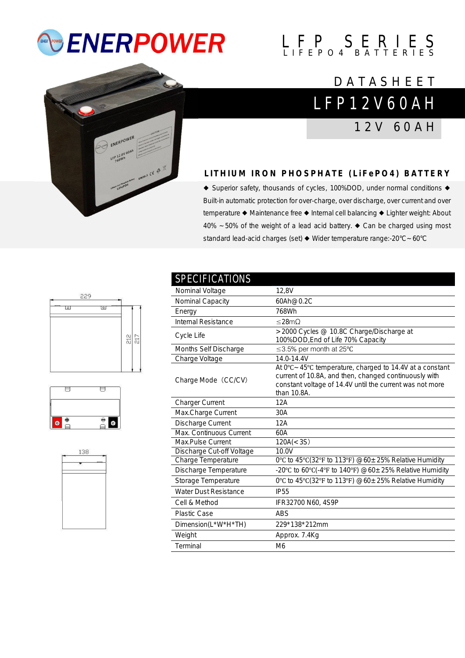# *<b>ENERPOWER*

# $L$   $F$   $P$   $S$   $E$   $R$   $I$   $E$   $S$

## L F P 1 2 V 6 0 A H **DATASHEET**

1 2 V 6 0 A H

### **L I T H I U M I R O N P H O S P H A T E ( L i F e P O 4 ) B A T T E R Y**

◆ Superior safety, thousands of cycles, 100%DOD, under normal conditions ◆ Built-in automatic protection for over-charge, over discharge, over current and over temperature ◆ Maintenance free ◆ Internal cell balancing ◆ Lighter weight: About 40% ~50% of the weight of a lead acid battery. ◆ Can be charged using most standard lead-acid charges (set) ◆ Wider temperature range:-20°C~60°C







| <b>SPECIFICATIONS</b>        |                                                                                                                                                                                                         |
|------------------------------|---------------------------------------------------------------------------------------------------------------------------------------------------------------------------------------------------------|
| Nominal Voltage              | 12,8V                                                                                                                                                                                                   |
| Nominal Capacity             | 60Ah@0.2C                                                                                                                                                                                               |
| Energy                       | 768Wh                                                                                                                                                                                                   |
| Internal Resistance          | $<$ 28m $\Omega$                                                                                                                                                                                        |
| Cycle Life                   | >2000 Cycles @ 10.8C Charge/Discharge at<br>100%DOD, End of Life 70% Capacity                                                                                                                           |
| Months Self Discharge        | ≤3.5% per month at 25°C                                                                                                                                                                                 |
| Charge Voltage               | 14.0-14.4V                                                                                                                                                                                              |
| Charge Mode (CC/CV)          | At $0^{\circ}$ C ~ 45°C temperature, charged to 14.4V at a constant<br>current of 10.8A, and then, changed continuously with<br>constant voltage of 14.4V until the current was not more<br>than 10.8A. |
| <b>Charger Current</b>       | 12A                                                                                                                                                                                                     |
| Max.Charge Current           | 30A                                                                                                                                                                                                     |
| Discharge Current            | 12A                                                                                                                                                                                                     |
| Max. Continuous Current      | 60A                                                                                                                                                                                                     |
| Max.Pulse Current            | 120A(<3S)                                                                                                                                                                                               |
| Discharge Cut-off Voltage    | 10.0V                                                                                                                                                                                                   |
| Charge Temperature           | 0°C to 45°C(32°F to 113°F) $@60 \pm 25\%$ Relative Humidity                                                                                                                                             |
| Discharge Temperature        | -20°C to 60°C(-4°F to 140°F) @60 $\pm$ 25% Relative Humidity                                                                                                                                            |
| Storage Temperature          | 0°C to 45°C(32°F to 113°F) $@60 \pm 25\%$ Relative Humidity                                                                                                                                             |
| <b>Water Dust Resistance</b> | <b>IP55</b>                                                                                                                                                                                             |
| Cell & Method                | IFR32700 N60, 4S9P                                                                                                                                                                                      |
| <b>Plastic Case</b>          | <b>ABS</b>                                                                                                                                                                                              |
| Dimension(L*W*H*TH)          | 229*138*212mm                                                                                                                                                                                           |
| Weight                       | Approx. 7.4Kg                                                                                                                                                                                           |
| Terminal                     | M <sub>6</sub>                                                                                                                                                                                          |